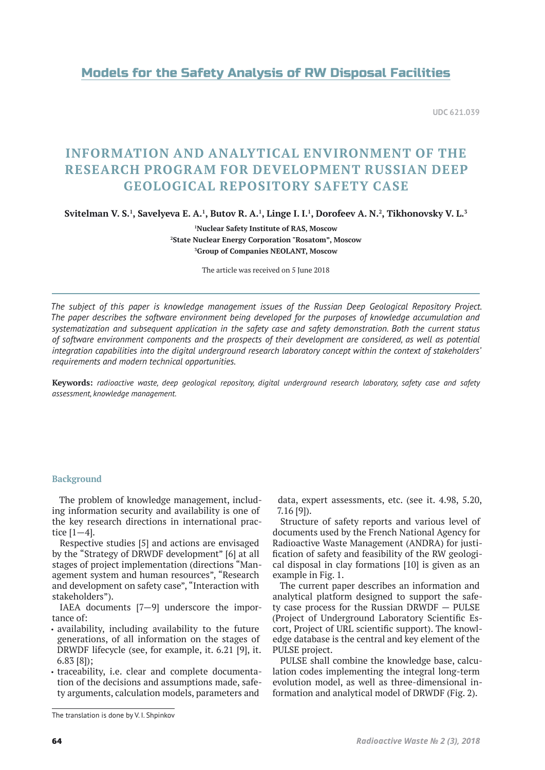# Models for the Safety Analysis of RW Disposal Facilities

**UDC 621.039**

# **INFORMATION AND ANALYTICAL ENVIRONMENT OF THE RESEARCH PROGRAM FOR DEVELOPMENT RUSSIAN DEEP GEOLOGICAL REPOSITORY SAFETY CASE**

**Svitelman V. S.1 , Savelyeva E. A.1 , Butov R. A.1 , Linge I. I.1 , Dorofeev A. N.2 , Tikhonovsky V. L.3**

**1 Nuclear Safety Institute of RAS, Moscow 2 State Nuclear Energy Corporation "Rosatom", Moscow 3 Group of Companies NEOLANT, Moscow**

The article was received on 5 June 2018

*The subject of this paper is knowledge management issues of the Russian Deep Geological Repository Project. The paper describes the software environment being developed for the purposes of knowledge accumulation and systematization and subsequent application in the safety case and safety demonstration. Both the current status of software environment components and the prospects of their development are considered, as well as potential integration capabilities into the digital underground research laboratory concept within the context of stakeholders' requirements and modern technical opportunities.*

**Keywords:** *radioactive waste, deep geological repository, digital underground research laboratory, safety case and safety assessment, knowledge management.*

### **Background**

The problem of knowledge management, including information security and availability is one of the key research directions in international practice [1—4].

Respective studies [5] and actions are envisaged by the "Strategy of DRWDF development" [6] at all stages of project implementation (directions "Management system and human resources", "Research and development on safety case", "Interaction with stakeholders").

IAEA documents [7—9] underscore the importance of:

- availability, including availability to the future generations, of all information on the stages of DRWDF lifecycle (see, for example, it. 6.21 [9], it. 6.83 [8]);
- traceability, i.e. clear and complete documentation of the decisions and assumptions made, safety arguments, calculation models, parameters and

data, expert assessments, etc. (see it. 4.98, 5.20, 7.16 [9]).

Structure of safety reports and various level of documents used by the French National Agency for Radioactive Waste Management (ANDRA) for justification of safety and feasibility of the RW geological disposal in clay formations [10] is given as an example in Fig. 1.

The current paper describes an information and analytical platform designed to support the safety case process for the Russian DRWDF — PULSE (Project of Underground Laboratory Scientific Escort, Project of URL scientific support). The knowledge database is the central and key element of the PULSE project.

PULSE shall combine the knowledge base, calculation codes implementing the integral long-term evolution model, as well as three-dimensional information and analytical model of DRWDF (Fig. 2).

The translation is done by V. I. Shpinkov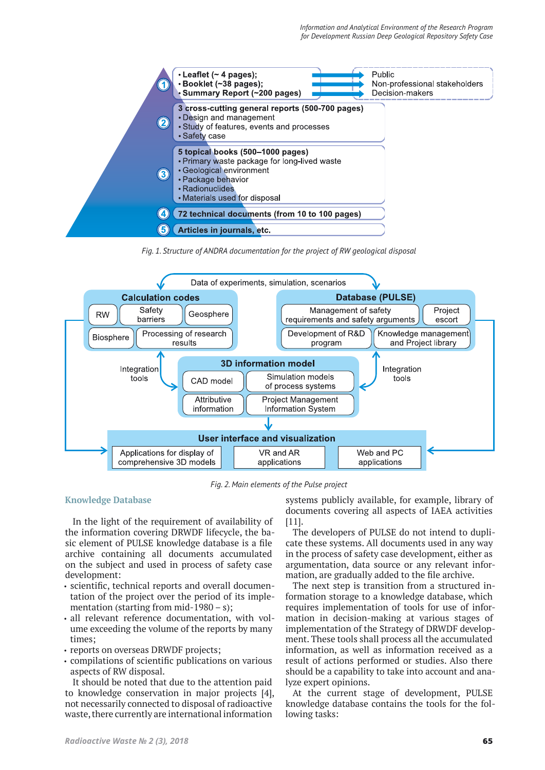

*Fig. 1. Structure of ANDRA documentation for the project of RW geological disposal*



*Fig. 2. Main elements of the Pulse project*

## **Knowledge Database**

In the light of the requirement of availability of the information covering DRWDF lifecycle, the basic element of PULSE knowledge database is a file archive containing all documents accumulated on the subject and used in process of safety case development:

- scientific, technical reports and overall documentation of the project over the period of its implementation (starting from mid-1980 – s):
- all relevant reference documentation, with volume exceeding the volume of the reports by many times;
- reports on overseas DRWDF projects;
- compilations of scientific publications on various aspects of RW disposal.

It should be noted that due to the attention paid to knowledge conservation in major projects [4], not necessarily connected to disposal of radioactive waste, there currently are international information

systems publicly available, for example, library of documents covering all aspects of IAEA activities [11].

The developers of PULSE do not intend to duplicate these systems. All documents used in any way in the process of safety case development, either as argumentation, data source or any relevant information, are gradually added to the file archive.

The next step is transition from a structured information storage to a knowledge database, which requires implementation of tools for use of information in decision-making at various stages of implementation of the Strategy of DRWDF development. These tools shall process all the accumulated information, as well as information received as a result of actions performed or studies. Also there should be a capability to take into account and analyze expert opinions.

At the current stage of development, PULSE knowledge database contains the tools for the following tasks: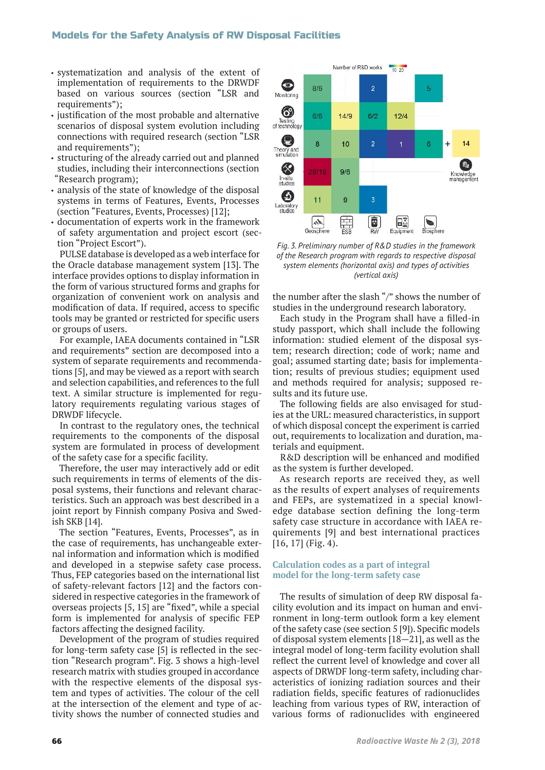## Models for the Safety Analysis of RW Disposal Facilities

- systematization and analysis of the extent of implementation of requirements to the DRWDF based on various sources (section "LSR and requirements");
- justification of the most probable and alternative scenarios of disposal system evolution including connections with required research (section "LSR and requirements");
- structuring of the already carried out and planned studies, including their interconnections (section "Research program);
- analysis of the state of knowledge of the disposal systems in terms of Features, Events, Processes (section "Features, Events, Processes) [12];
- documentation of experts work in the framework of safety argumentation and project escort (section "Project Escort").

PULSE database is developed as a web interface for the Oracle database management system [13]. The interface provides options to display information in the form of various structured forms and graphs for organization of convenient work on analysis and modification of data. If required, access to specific tools may be granted or restricted for specific users or groups of users.

For example, IAEA documents contained in "LSR and requirements" section are decomposed into a system of separate requirements and recommendations [5], and may be viewed as a report with search and selection capabilities, and references to the full text. A similar structure is implemented for regulatory requirements regulating various stages of DRWDF lifecycle.

In contrast to the regulatory ones, the technical requirements to the components of the disposal system are formulated in process of development of the safety case for a specific facility.

Therefore, the user may interactively add or edit such requirements in terms of elements of the disposal systems, their functions and relevant characteristics. Such an approach was best described in a joint report by Finnish company Posiva and Swedish SKB [14].

The section "Features, Events, Processes", as in the case of requirements, has unchangeable external information and information which is modified and developed in a stepwise safety case process. Thus, FEP categories based on the international list of safety-relevant factors [12] and the factors considered in respective categories in the framework of overseas projects [5, 15] are "fixed", while a special form is implemented for analysis of specific FEP factors affecting the designed facility.

Development of the program of studies required for long-term safety case [5] is reflected in the section "Research program". Fig. 3 shows a high-level research matrix with studies grouped in accordance with the respective elements of the disposal system and types of activities. The colour of the cell at the intersection of the element and type of activity shows the number of connected studies and



*Fig. 3. Preliminary number of R&D studies in the framework of the Research program with regards to respective disposal system elements (horizontal axis) and types of activities (vertical axis)*

the number after the slash "/" shows the number of studies in the underground research laboratory.

Each study in the Program shall have a filled-in study passport, which shall include the following information: studied element of the disposal system; research direction; code of work; name and goal; assumed starting date; basis for implementation; results of previous studies; equipment used and methods required for analysis; supposed results and its future use.

The following fields are also envisaged for studies at the URL: measured characteristics, in support of which disposal concept the experiment is carried out, requirements to localization and duration, materials and equipment.

R&D description will be enhanced and modified as the system is further developed.

As research reports are received they, as well as the results of expert analyses of requirements and FEPs, are systematized in a special knowledge database section defining the long-term safety case structure in accordance with IAEA requirements [9] and best international practices [16, 17] (Fig. 4).

### **Calculation codes as a part of integral model for the long-term safety case**

The results of simulation of deep RW disposal facility evolution and its impact on human and environment in long-term outlook form a key element of the safety case (see section 5 [9]). Specific models of disposal system elements [18—21], as well as the integral model of long-term facility evolution shall reflect the current level of knowledge and cover all aspects of DRWDF long-term safety, including characteristics of ionizing radiation sources and their radiation fields, specific features of radionuclides leaching from various types of RW, interaction of various forms of radionuclides with engineered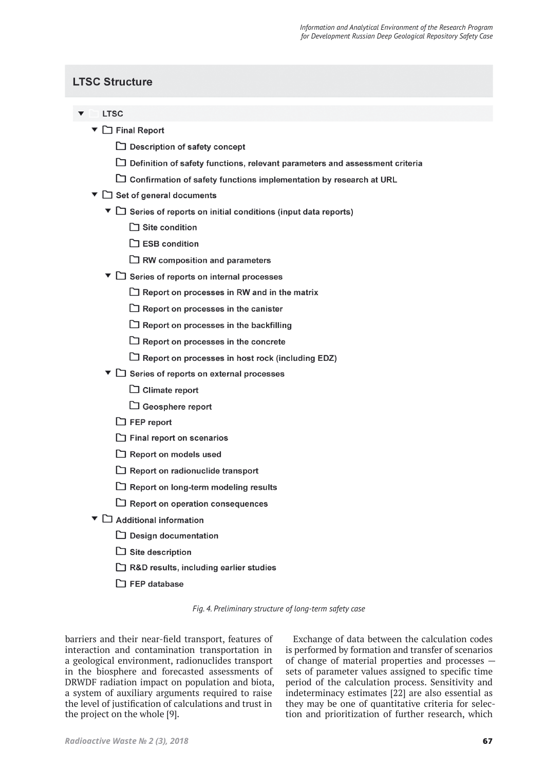# **LTSC Structure**

- **LTSC** 
	- $\blacktriangledown$   $\Box$  Final Report
		- □ Description of safety concept
		- Definition of safety functions, relevant parameters and assessment criteria
		- □ Confirmation of safety functions implementation by research at URL
	- $\blacktriangledown$   $\Box$  Set of general documents
		- $\blacktriangledown$  Series of reports on initial conditions (input data reports)
			- $\Box$  Site condition
			- $\Box$  ESB condition
			- $\Box$  RW composition and parameters
		- ▼ □ Series of reports on internal processes
			- $\Box$  Report on processes in RW and in the matrix
			- $\Box$  Report on processes in the canister
			- $\Box$  Report on processes in the backfilling
			- $\Box$  Report on processes in the concrete
			- $\Box$  Report on processes in host rock (including EDZ)
		- ▼ □ Series of reports on external processes
			- $\Box$  Climate report
			- Geosphere report
			- $\Box$  FEP report
			- $\Box$  Final report on scenarios
			- Report on models used
			- $\Box$  Report on radionuclide transport
			- $\Box$  Report on long-term modeling results
			- $\Box$  Report on operation consequences
	- $\blacktriangledown$   $\Box$  Additional information
		- $\Box$  Design documentation
		- $\Box$  Site description
		- R&D results, including earlier studies
		- $\Box$  FEP database

*Fig. 4. Preliminary structure of long-term safety case*

barriers and their near-field transport, features of interaction and contamination transportation in a geological environment, radionuclides transport in the biosphere and forecasted assessments of DRWDF radiation impact on population and biota, a system of auxiliary arguments required to raise the level of justification of calculations and trust in the project on the whole [9].

Exchange of data between the calculation codes is performed by formation and transfer of scenarios of change of material properties and processes sets of parameter values assigned to specific time period of the calculation process. Sensitivity and indeterminacy estimates [22] are also essential as they may be one of quantitative criteria for selection and prioritization of further research, which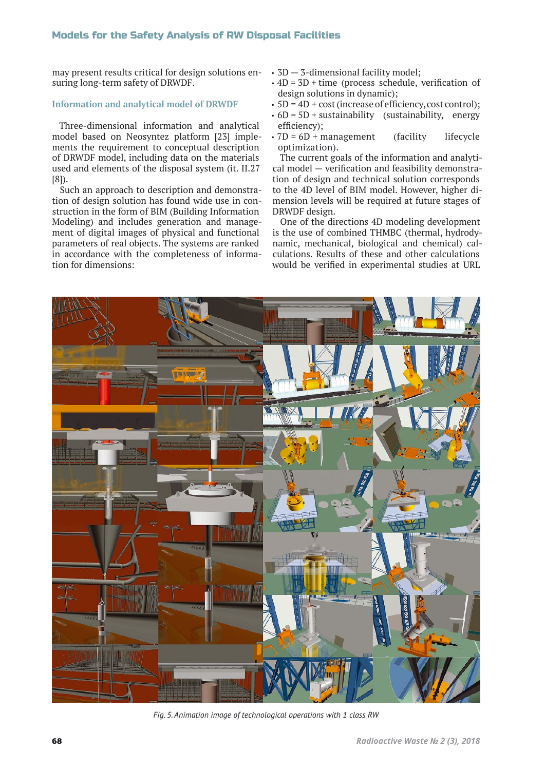may present results critical for design solutions ensuring long-term safety of DRWDF.

### **Information and analytical model of DRWDF**

Three-dimensional information and analytical model based on Neosyntez platform [23] implements the requirement to conceptual description of DRWDF model, including data on the materials used and elements of the disposal system (it. II.27 [8]).

Such an approach to description and demonstration of design solution has found wide use in construction in the form of BIM (Building Information Modeling) and includes generation and management of digital images of physical and functional parameters of real objects. The systems are ranked in accordance with the completeness of information for dimensions:

- 3D 3-dimensional facility model;
- $\cdot$  4D = 3D + time (process schedule, verification of design solutions in dynamic);
- 5D = 4D + cost (increase of efficiency, cost control);
- $\cdot$  6D = 5D + sustainability (sustainability, energy efficiency);
- $\cdot$  7D = 6D + management (facility lifecycle optimization).

The current goals of the information and analytical model — verification and feasibility demonstration of design and technical solution corresponds to the 4D level of BIM model. However, higher dimension levels will be required at future stages of DRWDF design.

One of the directions 4D modeling development is the use of combined THMBC (thermal, hydrodynamic, mechanical, biological and chemical) calculations. Results of these and other calculations would be verified in experimental studies at URL



*Fig. 5. Animation image of technological operations with 1 class RW*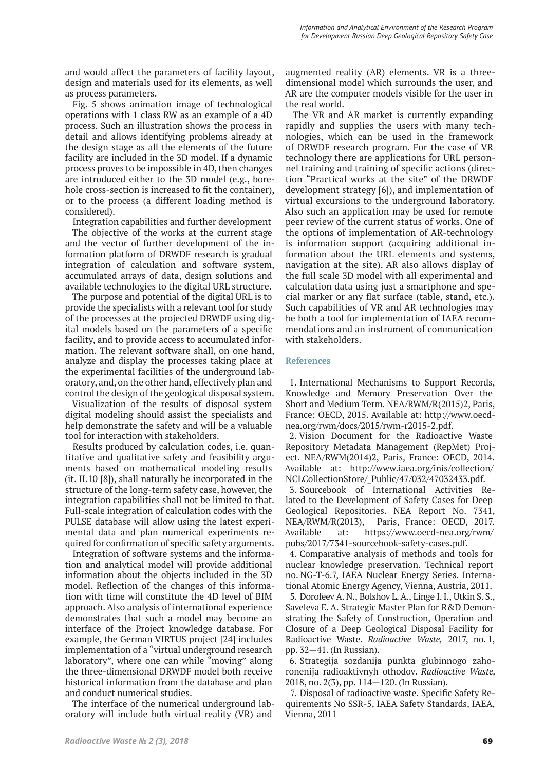and would affect the parameters of facility layout, design and materials used for its elements, as well as process parameters.

Fig. 5 shows animation image of technological operations with 1 class RW as an example of a 4D process. Such an illustration shows the process in detail and allows identifying problems already at the design stage as all the elements of the future facility are included in the 3D model. If a dynamic process proves to be impossible in 4D, then changes are introduced either to the 3D model (e.g., borehole cross-section is increased to fit the container), or to the process (a different loading method is considered).

Integration capabilities and further development

The objective of the works at the current stage and the vector of further development of the information platform of DRWDF research is gradual integration of calculation and software system, accumulated arrays of data, design solutions and available technologies to the digital URL structure.

The purpose and potential of the digital URL is to provide the specialists with a relevant tool for study of the processes at the projected DRWDF using digital models based on the parameters of a specific facility, and to provide access to accumulated information. The relevant software shall, on one hand, analyze and display the processes taking place at the experimental facilities of the underground laboratory, and, on the other hand, effectively plan and control the design of the geological disposal system.

Visualization of the results of disposal system digital modeling should assist the specialists and help demonstrate the safety and will be a valuable tool for interaction with stakeholders.

Results produced by calculation codes, i.e. quantitative and qualitative safety and feasibility arguments based on mathematical modeling results (it. II.10 [8]), shall naturally be incorporated in the structure of the long-term safety case, however, the integration capabilities shall not be limited to that. Full-scale integration of calculation codes with the PULSE database will allow using the latest experimental data and plan numerical experiments required for confirmation of specific safety arguments.

Integration of software systems and the information and analytical model will provide additional information about the objects included in the 3D model. Reflection of the changes of this information with time will constitute the 4D level of BIM approach. Also analysis of international experience demonstrates that such a model may become an interface of the Project knowledge database. For example, the German VIRTUS project [24] includes implementation of a "virtual underground research laboratory", where one can while "moving" along the three-dimensional DRWDF model both receive historical information from the database and plan and conduct numerical studies.

The interface of the numerical underground laboratory will include both virtual reality (VR) and

augmented reality (AR) elements. VR is a threedimensional model which surrounds the user, and AR are the computer models visible for the user in the real world.

The VR and AR market is currently expanding rapidly and supplies the users with many technologies, which can be used in the framework of DRWDF research program. For the case of VR technology there are applications for URL personnel training and training of specific actions (direction "Practical works at the site" of the DRWDF development strategy [6]), and implementation of virtual excursions to the underground laboratory. Also such an application may be used for remote peer review of the current status of works. One of the options of implementation of AR-technology is information support (acquiring additional information about the URL elements and systems, navigation at the site). AR also allows display of the full scale 3D model with all experimental and calculation data using just a smartphone and special marker or any flat surface (table, stand, etc.). Such capabilities of VR and AR technologies may be both a tool for implementation of IAEA recommendations and an instrument of communication with stakeholders.

### **References**

1. International Mechanisms to Support Records, Knowledge and Memory Preservation Over the Short and Medium Term. NEA/RWM/R(2015)2, Paris, France: OECD, 2015. Available at: http://www.oecdnea.org/rwm/docs/2015/rwm-r2015-2.pdf.

2. Vision Document for the Radioactive Waste Repository Metadata Management (RepMet) Project. NEA/RWM(2014)2, Paris, France: OECD, 2014. Available at: http://www.iaea.org/inis/collection/ NCLCollectionStore/\_Public/47/032/47032433.pdf.

3. Sourcebook of International Activities Related to the Development of Safety Cases for Deep Geological Repositories. NEA Report No. 7341, NEA/RWM/R(2013), Paris, France: OECD, 2017. Available at: https://www.oecd-nea.org/rwm/ pubs/2017/7341-sourcebook-safety-cases.pdf.

4. Comparative analysis of methods and tools for nuclear knowledge preservation. Technical report no. NG-T-6.7, IAEA Nuclear Energy Series. International Atomic Energy Agency, Vienna, Austria, 2011.

5. Dorofeev A. N., Bolshov L. A., Linge I. I., Utkin S. S., Saveleva E. A. Strategic Master Plan for R&D Demonstrating the Safety of Construction, Operation and Closure of a Deep Geological Disposal Facility for Radioactive Waste.*Radioactive Waste,* 2017, no. 1, pp. 32—41. (In Russian).

6. Strategija sozdanija punkta glubinnogo zahoronenija radioaktivnyh othodov.*Radioactive Waste,*  2018, no. 2(3), pp. 114—120. (In Russian).

7. Disposal of radioactive waste. Specific Safety Requirements No SSR-5, IAEA Safety Standards, IAEA, Vienna, 2011